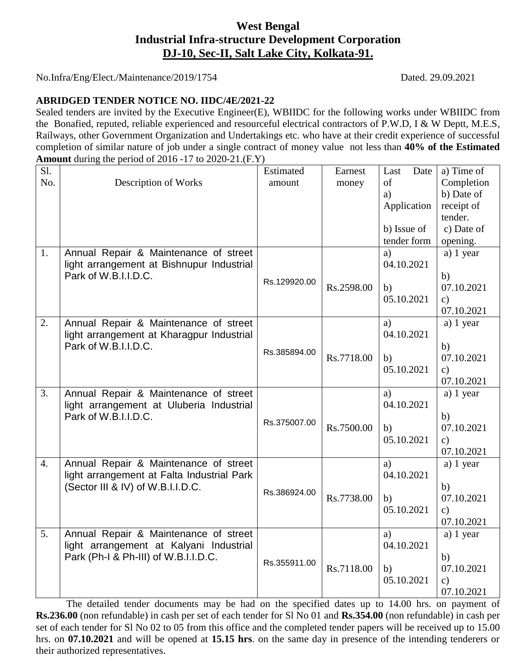## **West Bengal Industrial Infra-structure Development Corporation DJ-10, Sec-II, Salt Lake City, Kolkata-91.**

No.Infra/Eng/Elect./Maintenance/2019/1754 Dated. 29.09.2021

## **ABRIDGED TENDER NOTICE NO. IIDC/4E/2021-22**

Sealed tenders are invited by the Executive Engineer(E), WBIIDC for the following works under WBIIDC from the Bonafied, reputed, reliable experienced and resourceful electrical contractors of P.W.D, I & W Deptt, M.E.S, Railways, other Government Organization and Undertakings etc. who have at their credit experience of successful completion of similar nature of job under a single contract of money value not less than **40% of the Estimated Amount** during the period of 2016 -17 to 2020-21.(F.Y)

| Sl.              | and person $2010 - 17$ to $2020 - 21$ ; (1.1                                    | Estimated    | Earnest    | Date<br>Last     | a) Time of       |
|------------------|---------------------------------------------------------------------------------|--------------|------------|------------------|------------------|
| No.              | Description of Works                                                            | amount       | money      | of               | Completion       |
|                  |                                                                                 |              |            | a)               | b) Date of       |
|                  |                                                                                 |              |            | Application      | receipt of       |
|                  |                                                                                 |              |            |                  | tender.          |
|                  |                                                                                 |              |            | b) Issue of      | c) Date of       |
|                  |                                                                                 |              |            | tender form      | opening.         |
| 1.               | Annual Repair & Maintenance of street                                           |              |            | a)               | a) $1$ year      |
|                  | light arrangement at Bishnupur Industrial                                       |              |            | 04.10.2021       |                  |
|                  | Park of W.B.I.I.D.C.                                                            | Rs.129920.00 |            |                  | b)               |
|                  |                                                                                 |              | Rs.2598.00 | b)               | 07.10.2021       |
|                  |                                                                                 |              |            | 05.10.2021       | $\mathbf{c}$ )   |
|                  |                                                                                 |              |            |                  | 07.10.2021       |
| 2.               | Annual Repair & Maintenance of street                                           |              |            | a)               | a) $1$ year      |
|                  | light arrangement at Kharagpur Industrial                                       |              |            | 04.10.2021       |                  |
|                  | Park of W.B.I.I.D.C.                                                            | Rs.385894.00 |            |                  | b)               |
|                  |                                                                                 |              | Rs.7718.00 | b)               | 07.10.2021       |
|                  |                                                                                 |              |            | 05.10.2021       | $\mathbf{c}$ )   |
|                  |                                                                                 |              |            |                  | 07.10.2021       |
| 3.               | Annual Repair & Maintenance of street                                           |              |            | a)               | a) 1 year        |
|                  | light arrangement at Uluberia Industrial                                        |              |            | 04.10.2021       |                  |
|                  | Park of W.B.I.I.D.C.                                                            | Rs.375007.00 |            |                  | b)               |
|                  |                                                                                 |              | Rs.7500.00 | b)               | 07.10.2021       |
|                  |                                                                                 |              |            | 05.10.2021       | $\mathbf{c}$ )   |
|                  |                                                                                 |              |            |                  | 07.10.2021       |
| $\overline{4}$ . | Annual Repair & Maintenance of street                                           |              |            | a)               | a) $1$ year      |
|                  | light arrangement at Falta Industrial Park                                      |              |            | 04.10.2021       |                  |
|                  | (Sector III & IV) of W.B.I.I.D.C.                                               | Rs.386924.00 |            |                  | b)               |
|                  |                                                                                 |              | Rs.7738.00 | b)               | 07.10.2021       |
|                  |                                                                                 |              |            | 05.10.2021       | $\mathbf{c}$ )   |
| 5.               |                                                                                 |              |            |                  | 07.10.2021       |
|                  | Annual Repair & Maintenance of street                                           |              |            | a)<br>04.10.2021 | a) $1$ year      |
|                  | light arrangement at Kalyani Industrial<br>Park (Ph-I & Ph-III) of W.B.I.I.D.C. |              |            |                  |                  |
|                  |                                                                                 | Rs.355911.00 | Rs.7118.00 |                  | b)<br>07.10.2021 |
|                  |                                                                                 |              |            | b)<br>05.10.2021 | $\mathbf{c}$ )   |
|                  |                                                                                 |              |            |                  | 07.10.2021       |
|                  |                                                                                 |              |            |                  |                  |

The detailed tender documents may be had on the specified dates up to 14.00 hrs. on payment of **Rs.236.00** (non refundable) in cash per set of each tender for Sl No 01 and **Rs.354.00** (non refundable) in cash per set of each tender for Sl No 02 to 05 from this office and the completed tender papers will be received up to 15.00 hrs. on **07.10.2021** and will be opened at **15.15 hrs**. on the same day in presence of the intending tenderers or their authorized representatives.